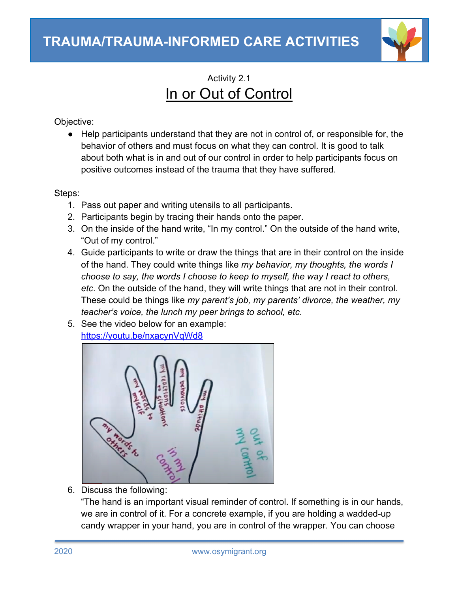

## Activity 2.1 In or Out of Control

Objective:

● Help participants understand that they are not in control of, or responsible for, the behavior of others and must focus on what they can control. It is good to talk about both what is in and out of our control in order to help participants focus on positive outcomes instead of the trauma that they have suffered.

Steps:

- 1. Pass out paper and writing utensils to all participants.
- 2. Participants begin by tracing their hands onto the paper.
- 3. On the inside of the hand write, "In my control." On the outside of the hand write, "Out of my control."
- 4. Guide participants to write or draw the things that are in their control on the inside of the hand. They could write things like *my behavior, my thoughts, the words I choose to say, the words I choose to keep to myself, the way I react to others, etc*. On the outside of the hand, they will write things that are not in their control. These could be things like *my parent's job, my parents' divorce, the weather, my teacher's voice, the lunch my peer brings to school, etc*.
- 5. See the video below for an example: https://youtu.be/nxacynVqWd8



6. Discuss the following:

"The hand is an important visual reminder of control. If something is in our hands, we are in control of it. For a concrete example, if you are holding a wadded-up candy wrapper in your hand, you are in control of the wrapper. You can choose